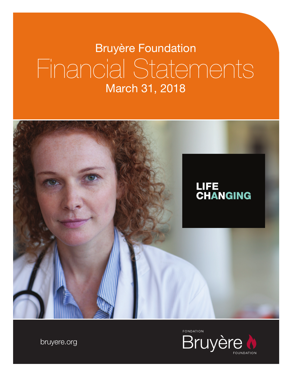# Bruyère Foundation Financial Statements March 31, 2018





bruyere.org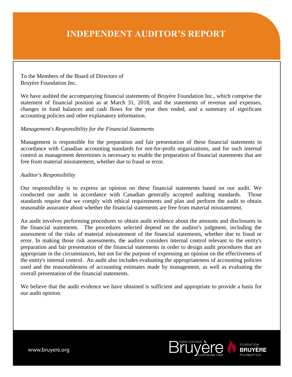# **INDEPENDENT AUDITOR'S REPORT**

To the Members of the Board of Directors of Bruyère Foundation Inc.

We have audited the accompanying financial statements of Bruyère Foundation Inc., which comprise the statement of financial position as at March 31, 2018, and the statements of revenue and expenses, changes in fund balances and cash flows for the year then ended, and a summary of significant accounting policies and other explanatory information.

#### *Management's Responsibility for the Financial Statements*

Management is responsible for the preparation and fair presentation of these financial statements in accordance with Canadian accounting standards for not-for-profit organizations, and for such internal control as management determines is necessary to enable the preparation of financial statements that are free from material misstatement, whether due to fraud or error.

### *Auditor's Responsibility*

Our responsibility is to express an opinion on these financial statements based on our audit. We conducted our audit in accordance with Canadian generally accepted auditing standards. Those standards require that we comply with ethical requirements and plan and perform the audit to obtain reasonable assurance about whether the financial statements are free from material misstatement.

An audit involves performing procedures to obtain audit evidence about the amounts and disclosures in the financial statements. The procedures selected depend on the auditor's judgment, including the assessment of the risks of material misstatement of the financial statements, whether due to fraud or error. In making those risk assessments, the auditor considers internal control relevant to the entity's preparation and fair presentation of the financial statements in order to design audit procedures that are appropriate in the circumstances, but not for the purpose of expressing an opinion on the effectiveness of the entity's internal control. An audit also includes evaluating the appropriateness of accounting policies used and the reasonableness of accounting estimates made by management, as well as evaluating the overall presentation of the financial statements.

We believe that the audit evidence we have obtained is sufficient and appropriate to provide a basis for our audit opinion.

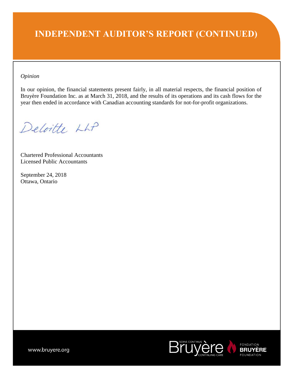# **INDEPENDENT AUDITOR'S REPORT (CONTINUED)**

### *Opinion*

In our opinion, the financial statements present fairly, in all material respects, the financial position of Bruyère Foundation Inc. as at March 31, 2018, and the results of its operations and its cash flows for the year then ended in accordance with Canadian accounting standards for not-for-profit organizations.

Deloitte LLP

Chartered Professional Accountants Licensed Public Accountants

September 24, 2018 Ottawa, Ontario

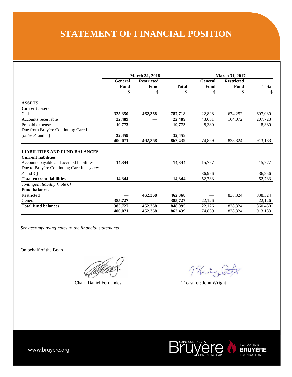# **STATEMENT OF FINANCIAL POSITION**

|                                             | <b>March 31, 2018</b> |                   |              | <b>March 31, 2017</b> |                   |              |
|---------------------------------------------|-----------------------|-------------------|--------------|-----------------------|-------------------|--------------|
|                                             | <b>General</b>        | <b>Restricted</b> |              | <b>General</b>        | <b>Restricted</b> |              |
|                                             | <b>Fund</b>           | Fund              | <b>Total</b> | Fund                  | Fund              | <b>Total</b> |
|                                             | \$                    | \$                | \$           | \$                    | \$                | \$           |
| <b>ASSETS</b>                               |                       |                   |              |                       |                   |              |
| <b>Current assets</b>                       |                       |                   |              |                       |                   |              |
| Cash                                        | 325,350               | 462,368           | 787,718      | 22,828                | 674.252           | 697,080      |
| Accounts receivable                         | 22,489                |                   | 22,489       | 43,651                | 164,072           | 207,723      |
| Prepaid expenses                            | 19,773                |                   | 19,773       | 8,380                 |                   | 8,380        |
| Due from Bruyère Continuing Care Inc.       |                       |                   |              |                       |                   |              |
| [ <i>notes</i> $3$ and $4$ ]                | 32,459                |                   | 32,459       |                       |                   |              |
|                                             | 400,071               | 462,368           | 862,439      | 74,859                | 838,324           | 913,183      |
|                                             |                       |                   |              |                       |                   |              |
| <b>LIABILITIES AND FUND BALANCES</b>        |                       |                   |              |                       |                   |              |
| <b>Current liabilities</b>                  |                       |                   |              |                       |                   |              |
| Accounts payable and accrued liabilities    | 14,344                |                   | 14,344       | 15,777                |                   | 15,777       |
| Due to Bruyère Continuing Care Inc. [notes] |                       |                   |              |                       |                   |              |
| $3$ and $41$                                |                       |                   |              | 36,956                |                   | 36,956       |
| <b>Total current liabilities</b>            | 14,344                |                   | 14,344       | 52,733                |                   | 52,733       |
| contingent liability [note 6]               |                       |                   |              |                       |                   |              |
| <b>Fund balances</b>                        |                       |                   |              |                       |                   |              |
| Restricted                                  |                       | 462,368           | 462,368      |                       | 838,324           | 838,324      |
| General                                     | 385,727               |                   | 385,727      | 22,126                |                   | 22,126       |
| <b>Total fund balances</b>                  | 385,727               | 462,368           | 848,095      | 22,126                | 838,324           | 860,450      |
|                                             | 400,071               | 462,368           | 862,439      | 74,859                | 838,324           | 913,183      |

*See accompanying notes to the financial statements*

On behalf of the Board:

Chair: Daniel Fernandes Treasurer: John Wright

Might



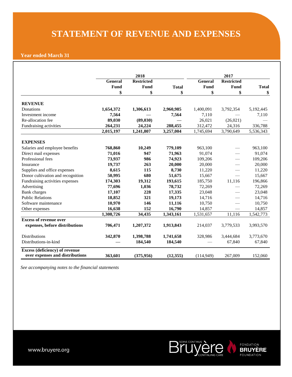# **STATEMENT OF REVENUE AND EXPENSES**

#### **Year ended March 31**

|                                       | 2018           |                   |              | 2017       |                   |              |
|---------------------------------------|----------------|-------------------|--------------|------------|-------------------|--------------|
|                                       | <b>General</b> | <b>Restricted</b> |              | General    | <b>Restricted</b> |              |
|                                       | <b>Fund</b>    | <b>Fund</b>       | <b>Total</b> | Fund       | Fund              | <b>Total</b> |
|                                       | \$             | \$                | \$           | \$         | \$                | \$           |
| <b>REVENUE</b>                        |                |                   |              |            |                   |              |
| Donations                             | 1,654,372      | 1,306,613         | 2,960,985    | 1,400,091  | 3,792,354         | 5,192,445    |
| Investment income                     | 7,564          |                   | 7,564        | 7,110      |                   | 7,110        |
| Re-allocation fee                     | 89,030         | (89, 030)         |              | 26,021     | (26,021)          |              |
| Fundraising activities                | 264,231        | 24,224            | 288,455      | 312,472    | 24,316            | 336,788      |
|                                       | 2,015,197      | 1,241,807         | 3,257,004    | 1,745,694  | 3,790,649         | 5,536,343    |
|                                       |                |                   |              |            |                   |              |
| <b>EXPENSES</b>                       |                |                   |              |            |                   |              |
| Salaries and employee benefits        | 768,860        | 10,249            | 779,109      | 963,100    |                   | 963,100      |
| Direct mail expenses                  | 71,016         | 947               | 71,963       | 91,074     |                   | 91,074       |
| Professional fees                     | 73,937         | 986               | 74,923       | 109,206    |                   | 109,206      |
| Insurance                             | 19,737         | 263               | 20,000       | 20,000     |                   | 20,000       |
| Supplies and office expenses          | 8,615          | 115               | 8,730        | 11,220     |                   | 11,220       |
| Donor cultivation and recognition     | 50,995         | 680               | 51,675       | 15,667     |                   | 15,667       |
| Fundraising activities expenses       | 174,303        | 19,312            | 193,615      | 185,750    | 11,116            | 196,866      |
| Advertising                           | 77,696         | 1,036             | 78,732       | 72,269     |                   | 72,269       |
| <b>Bank</b> charges                   | 17,107         | 228               | 17,335       | 23,048     |                   | 23,048       |
| <b>Public Relations</b>               | 18,852         | 321               | 19,173       | 14,716     |                   | 14,716       |
| Software maintenance                  | 10,970         | 146               | 11,116       | 10,750     |                   | 10,750       |
| Other expenses                        | 16,638         | 152               | 16,790       | 14,857     |                   | 14,857       |
|                                       | 1,308,726      | 34,435            | 1,343,161    | 1,531,657  | 11,116            | 1,542,773    |
| <b>Excess of revenue over</b>         |                |                   |              |            |                   |              |
| expenses, before distributions        | 706,471        | 1,207,372         | 1,913,843    | 214,037    | 3,779,533         | 3,993,570    |
| <b>Distributions</b>                  | 342,870        | 1,398,788         | 1,741,658    | 328,986    | 3,444,684         | 3,773,670    |
| Distributions-in-kind                 |                | 184,540           | 184,540      |            | 67,840            | 67,840       |
| <b>Excess (deficiency) of revenue</b> |                |                   |              |            |                   |              |
| over expenses and distributions       | 363,601        | (375, 956)        | (12, 355)    | (114, 949) | 267,009           | 152,060      |

*See accompanying notes to the financial statements*

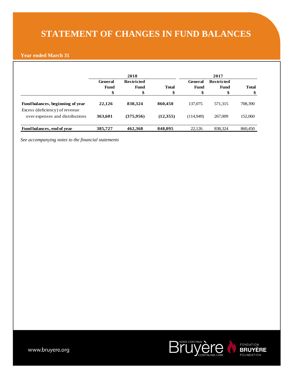# **STATEMENT OF CHANGES IN FUND BALANCES**

#### **Year ended March 31**

|                                                                    | 2018                         |                                        |                    | 2017                   |                                 |              |
|--------------------------------------------------------------------|------------------------------|----------------------------------------|--------------------|------------------------|---------------------------------|--------------|
|                                                                    | General<br><b>Fund</b><br>\$ | <b>Restricted</b><br><b>Fund</b><br>\$ | <b>Total</b><br>\$ | General<br><b>Fund</b> | <b>Restricted</b><br>Fund<br>\$ | <b>Total</b> |
| Fund balances, beginning of year<br>Excess (deficiency) of revenue | 22,126                       | 838,324                                | 860,450            | 137,075                | 571.315                         | 708,390      |
| over expenses and distributions                                    | 363,601                      | (375,956)                              | (12,355)           | (114, 949)             | 267,009                         | 152,060      |
| Fund balances, end of year                                         | 385,727                      | 462.368                                | 848.095            | 22.126                 | 838,324                         | 860,450      |

*See accompanying notes to the financial statements*

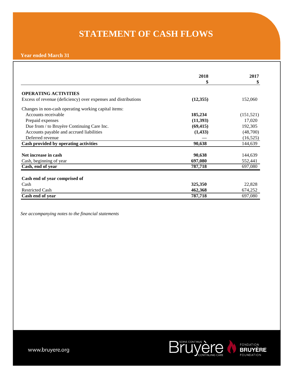# **STATEMENT OF CASH FLOWS**

# **Year ended March 31**

|                                                                | 2018      | 2017       |
|----------------------------------------------------------------|-----------|------------|
|                                                                | \$        | \$         |
| <b>OPERATING ACTIVITIES</b>                                    |           |            |
| Excess of revenue (deficiency) over expenses and distributions | (12,355)  | 152,060    |
| Changes in non-cash operating working capital items:           |           |            |
| Accounts receivable                                            | 185,234   | (151, 521) |
| Prepaid expenses                                               | (11,393)  | 17,020     |
| Due from / to Bruyère Continuing Care Inc.                     | (69, 415) | 192,305    |
| Accounts payable and accrued liabilities                       | (1, 433)  | (48,700)   |
| Deferred revenue                                               |           | (16, 525)  |
| Cash provided by operating activities                          | 90,638    | 144,639    |
| Net increase in cash                                           | 90,638    | 144,639    |
| Cash, beginning of year                                        | 697,080   | 552,441    |
| Cash, end of year                                              | 787,718   | 697,080    |
| Cash end of year comprised of                                  |           |            |
| Cash                                                           | 325,350   | 22,828     |
| <b>Restricted Cash</b>                                         | 462,368   | 674,252    |
| Cash end of year                                               | 787,718   | 697,080    |

*See accompanying notes to the financial statements*

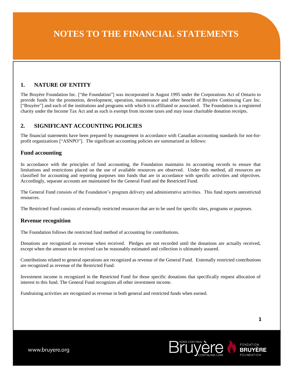# **NOTES TO THE FINANCIAL STATEMENTS**

### **1. NATURE OF ENTITY**

The Bruyère Foundation Inc. ["the Foundation"] was incorporated in August 1995 under the Corporations Act of Ontario to provide funds for the promotion, development, operation, maintenance and other benefit of Bruyère Continuing Care Inc. ["Bruyère"] and each of the institutions and programs with which it is affiliated or associated. The Foundation is a registered charity under the Income Tax Act and as such is exempt from income taxes and may issue charitable donation receipts.

### **2. SIGNIFICANT ACCOUNTING POLICIES**

The financial statements have been prepared by management in accordance with Canadian accounting standards for not-forprofit organizations ["ASNPO"]. The significant accounting policies are summarized as follows:

#### **Fund accounting**

In accordance with the principles of fund accounting, the Foundation maintains its accounting records to ensure that limitations and restrictions placed on the use of available resources are observed. Under this method, all resources are classified for accounting and reporting purposes into funds that are in accordance with specific activities and objectives. Accordingly, separate accounts are maintained for the General Fund and the Restricted Fund.

The General Fund consists of the Foundation's program delivery and administrative activities. This fund reports unrestricted resources.

The Restricted Fund consists of externally restricted resources that are to be used for specific sites, programs or purposes.

#### **Revenue recognition**

The Foundation follows the restricted fund method of accounting for contributions.

Donations are recognized as revenue when received. Pledges are not recorded until the donations are actually received, except when the amount to be received can be reasonably estimated and collection is ultimately assured.

Contributions related to general operations are recognized as revenue of the General Fund. Externally restricted contributions are recognized as revenue of the Restricted Fund.

Investment income is recognized in the Restricted Fund for those specific donations that specifically request allocation of interest to this fund. The General Fund recognizes all other investment income.

Fundraising activities are recognized as revenue in both general and restricted funds when earned.



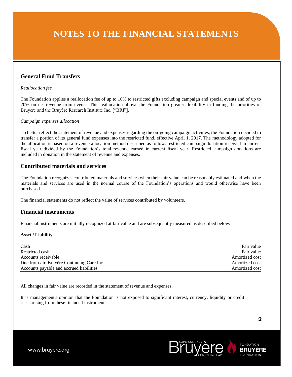# **NOTES TO THE FINANCIAL STATEMENTS**

### **General Fund Transfers**

#### *Reallocation fee*

The Foundation applies a reallocation fee of up to 10% to restricted gifts excluding campaign and special events and of up to 20% on net revenue from events. This reallocation allows the Foundation greater flexibility in funding the priorities of Bruyère and the Bruyère Research Institute Inc. ["BRI"].

#### *Campaign expenses allocation*

To better reflect the statement of revenue and expenses regarding the on-going campaign activities, the Foundation decided to transfer a portion of its general fund expenses into the restricted fund, effective April 1, 2017. The methodology adopted for the allocation is based on a revenue allocation method described as follow: restricted campaign donation received in current fiscal year divided by the Foundation's total revenue earned in current fiscal year. Restricted campaign donations are included in donation in the statement of revenue and expenses.

### **Contributed materials and services**

The Foundation recognizes contributed materials and services when their fair value can be reasonably estimated and when the materials and services are used in the normal course of the Foundation's operations and would otherwise have been purchased.

The financial statements do not reflect the value of services contributed by volunteers.

#### **Financial instruments**

Financial instruments are initially recognized at fair value and are subsequently measured as described below:

#### **Asset / Liability**

| Cash                                       | Fair value     |
|--------------------------------------------|----------------|
| Restricted cash                            | Fair value     |
| Accounts receivable                        | Amortized cost |
| Due from / to Bruyère Continuing Care Inc. | Amortized cost |
| Accounts payable and accrued liabilities   | Amortized cost |

All changes in fair value are recorded in the statement of revenue and expenses.

It is management's opinion that the Foundation is not exposed to significant interest, currency, liquidity or credit risks arising from these financial instruments.

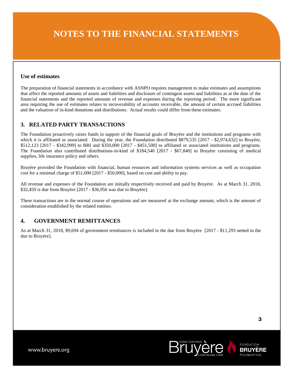# **NOTES TO THE FINANCIAL STATEMENTS**

### **Use of estimates**

The preparation of financial statements in accordance with ASNPO requires management to make estimates and assumptions that affect the reported amounts of assets and liabilities and disclosure of contingent assets and liabilities as at the date of the financial statements and the reported amounts of revenue and expenses during the reporting period. The more significant area requiring the use of estimates relates to recoverability of accounts receivable, the amount of certain accrued liabilities and the valuation of in-kind donations and distributions. Actual results could differ from these estimates.

### **3. RELATED PARTY TRANSACTIONS**

The Foundation proactively raises funds in support of the financial goals of Bruyère and the institutions and programs with which it is affiliated or associated. During the year, the Foundation distributed \$879,535 [2017 - \$2,974,632] to Bruyère, \$512,123 [2017 - \$342,999] to BRI and \$350,000 [2017 - \$451,500] to affiliated or associated institutions and programs. The Foundation also contributed distributions-in-kind of \$184,540 [2017 - \$67,840] to Bruyère consisting of medical supplies, life insurance policy and others.

Bruyère provided the Foundation with financial, human resources and information systems services as well as occupation cost for a minimal charge of \$51,000 [2017 - \$50,000], based on cost and ability to pay.

All revenue and expenses of the Foundation are initially respectively received and paid by Bruyère. As at March 31, 2018, \$32,459 is due from Bruyère [2017 - \$36,956 was due to Bruyère].

These transactions are in the normal course of operations and are measured at the exchange amount, which is the amount of consideration established by the related entities.

#### **4. GOVERNMENT REMITTANCES**

As at March 31, 2018, \$9,694 of government remittances is included in the due from Bruyère [2017 - \$11,293 netted in the due to Bruyère].